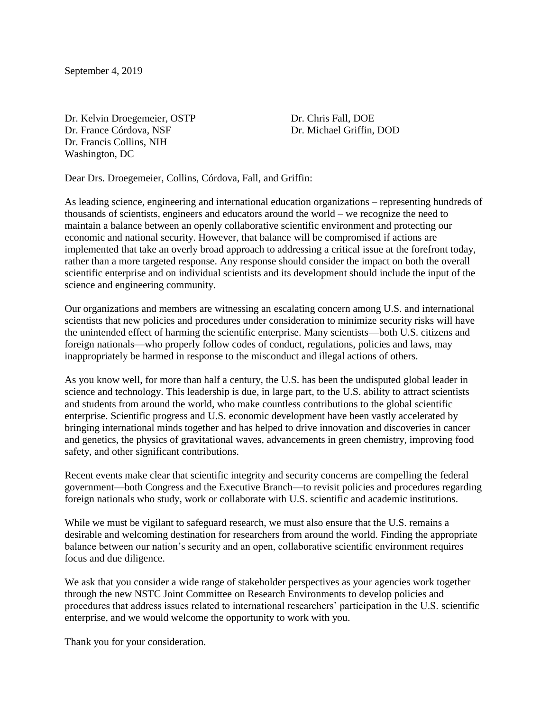September 4, 2019

Dr. Kelvin Droegemeier, OSTP Dr. Chris Fall, DOE Dr. France Córdova, NSF Dr. Michael Griffin, DOD Dr. Francis Collins, NIH Washington, DC

Dear Drs. Droegemeier, Collins, Córdova, Fall, and Griffin:

As leading science, engineering and international education organizations – representing hundreds of thousands of scientists, engineers and educators around the world – we recognize the need to maintain a balance between an openly collaborative scientific environment and protecting our economic and national security. However, that balance will be compromised if actions are implemented that take an overly broad approach to addressing a critical issue at the forefront today, rather than a more targeted response. Any response should consider the impact on both the overall scientific enterprise and on individual scientists and its development should include the input of the science and engineering community.

Our organizations and members are witnessing an escalating concern among U.S. and international scientists that new policies and procedures under consideration to minimize security risks will have the unintended effect of harming the scientific enterprise. Many scientists—both U.S. citizens and foreign nationals—who properly follow codes of conduct, regulations, policies and laws, may inappropriately be harmed in response to the misconduct and illegal actions of others.

As you know well, for more than half a century, the U.S. has been the undisputed global leader in science and technology. This leadership is due, in large part, to the U.S. ability to attract scientists and students from around the world, who make countless contributions to the global scientific enterprise. Scientific progress and U.S. economic development have been vastly accelerated by bringing international minds together and has helped to drive innovation and discoveries in cancer and genetics, the physics of gravitational waves, advancements in green chemistry, improving food safety, and other significant contributions.

Recent events make clear that scientific integrity and security concerns are compelling the federal government—both Congress and the Executive Branch—to revisit policies and procedures regarding foreign nationals who study, work or collaborate with U.S. scientific and academic institutions.

While we must be vigilant to safeguard research, we must also ensure that the U.S. remains a desirable and welcoming destination for researchers from around the world. Finding the appropriate balance between our nation's security and an open, collaborative scientific environment requires focus and due diligence.

We ask that you consider a wide range of stakeholder perspectives as your agencies work together through the new NSTC Joint Committee on Research Environments to develop policies and procedures that address issues related to international researchers' participation in the U.S. scientific enterprise, and we would welcome the opportunity to work with you.

Thank you for your consideration.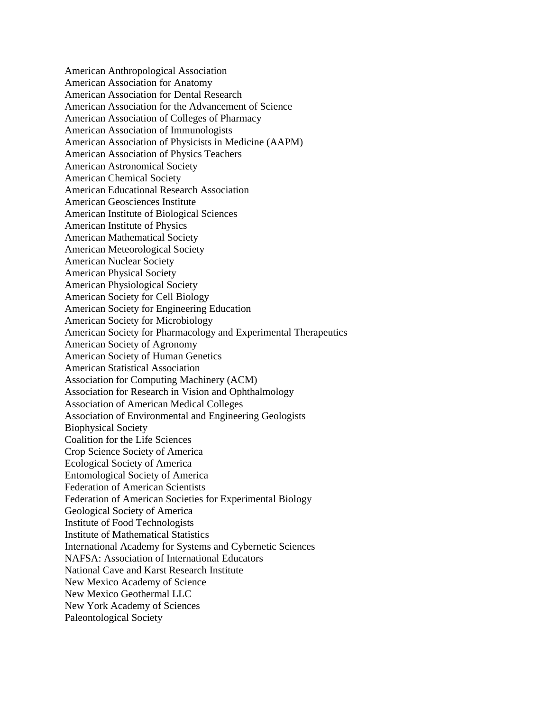American Anthropological Association American Association for Anatomy American Association for Dental Research American Association for the Advancement of Science American Association of Colleges of Pharmacy American Association of Immunologists American Association of Physicists in Medicine (AAPM) American Association of Physics Teachers American Astronomical Society American Chemical Society American Educational Research Association American Geosciences Institute American Institute of Biological Sciences American Institute of Physics American Mathematical Society American Meteorological Society American Nuclear Society American Physical Society American Physiological Society American Society for Cell Biology American Society for Engineering Education American Society for Microbiology American Society for Pharmacology and Experimental Therapeutics American Society of Agronomy American Society of Human Genetics American Statistical Association Association for Computing Machinery (ACM) Association for Research in Vision and Ophthalmology Association of American Medical Colleges Association of Environmental and Engineering Geologists Biophysical Society Coalition for the Life Sciences Crop Science Society of America Ecological Society of America Entomological Society of America Federation of American Scientists Federation of American Societies for Experimental Biology Geological Society of America Institute of Food Technologists Institute of Mathematical Statistics International Academy for Systems and Cybernetic Sciences NAFSA: Association of International Educators National Cave and Karst Research Institute New Mexico Academy of Science New Mexico Geothermal LLC New York Academy of Sciences Paleontological Society